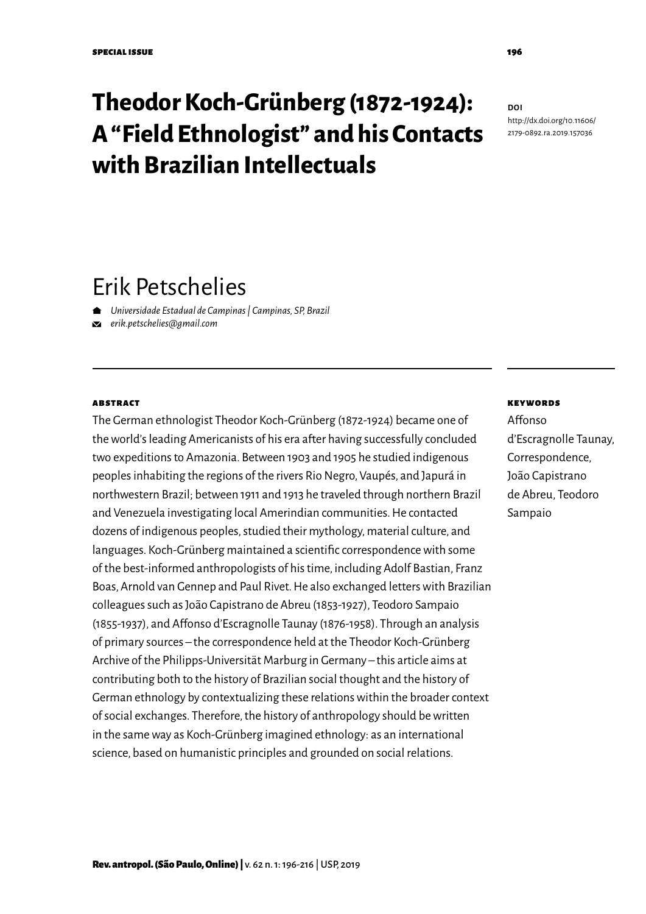# **Theodor Koch-Grünberg (1872-1924): A "Field Ethnologist" and his Contacts with Brazilian Intellectuals**

#### **DOI** [http://dx.doi.org/1](http://dx.doi.org/10.11606/2179-0892.ra.2019.157036)0.11606/ 2179-0892.ra.2019.157036

# Erik Petschelies

*Universidade Estadual de Campinas | Campinas, SP, Brazil*

*[erik.petschelies@gmail.com](mailto:erik.petschelies@gmail.com)*

#### **ABSTRACT**

The German ethnologist Theodor Koch-Grünberg (1872-1924) became one of the world's leading Americanists of his era after having successfully concluded two expeditions to Amazonia. Between 1903 and 1905 he studied indigenous peoples inhabiting the regions of the rivers Rio Negro, Vaupés, and Japurá in northwestern Brazil; between 1911 and 1913 he traveled through northern Brazil and Venezuela investigating local Amerindian communities. He contacted dozens of indigenous peoples, studied their mythology, material culture, and languages. Koch-Grünberg maintained a scientific correspondence with some of the best-informed anthropologists of his time, including Adolf Bastian, Franz Boas, Arnold van Gennep and Paul Rivet. He also exchanged letters with Brazilian colleagues such as João Capistrano de Abreu (1853-1927), Teodoro Sampaio (1855-1937), and Affonso d'Escragnolle Taunay (1876-1958). Through an analysis of primary sources – the correspondence held at the Theodor Koch-Grünberg Archive of the Philipps-Universität Marburg in Germany – this article aims at contributing both to the history of Brazilian social thought and the history of German ethnology by contextualizing these relations within the broader context of social exchanges. Therefore, the history of anthropology should be written in the same way as Koch-Grünberg imagined ethnology: as an international science, based on humanistic principles and grounded on social relations.

#### keywords

Affonso d'Escragnolle Taunay, Correspondence, João Capistrano de Abreu, Teodoro Sampaio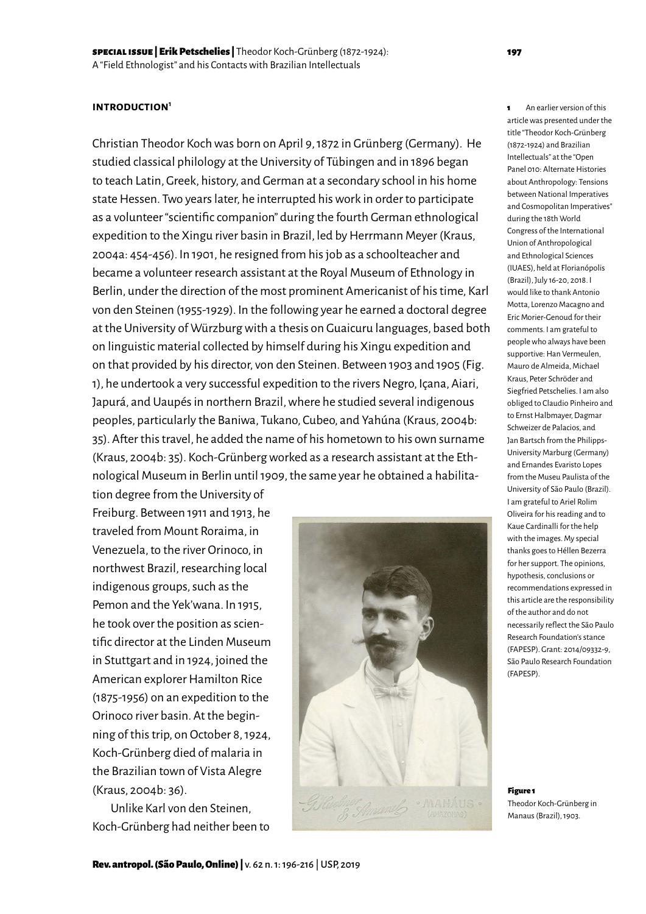#### **introduction1**

Christian Theodor Koch was born on April 9, 1872 in Grünberg (Germany). He studied classical philology at the University of Tübingen and in 1896 began to teach Latin, Greek, history, and German at a secondary school in his home state Hessen. Two years later, he interrupted his work in order to participate as a volunteer "scientific companion" during the fourth German ethnological expedition to the Xingu river basin in Brazil, led by Herrmann Meyer (Kraus, 2004a: 454-456). In 1901, he resigned from his job as a schoolteacher and became a volunteer research assistant at the Royal Museum of Ethnology in Berlin, under the direction of the most prominent Americanist of his time, Karl von den Steinen (1955-1929). In the following year he earned a doctoral degree at the University of Würzburg with a thesis on Guaicuru languages, based both on linguistic material collected by himself during his Xingu expedition and on that provided by his director, von den Steinen. Between 1903 and 1905 (Fig. 1), he undertook a very successful expedition to the rivers Negro, Içana, Aiari, Japurá, and Uaupés in northern Brazil, where he studied several indigenous peoples, particularly the Baniwa, Tukano, Cubeo, and Yahúna (Kraus, 2004b: 35). After this travel, he added the name of his hometown to his own surname (Kraus, 2004b: 35). Koch-Grünberg worked as a research assistant at the Ethnological Museum in Berlin until 1909, the same year he obtained a habilita-

tion degree from the University of Freiburg. Between 1911 and 1913, he traveled from Mount Roraima, in Venezuela, to the river Orinoco, in northwest Brazil, researching local indigenous groups, such as the Pemon and the Yek'wana. In 1915, he took over the position as scientific director at the Linden Museum in Stuttgart and in 1924, joined the American explorer Hamilton Rice (1875-1956) on an expedition to the Orinoco river basin. At the beginning of this trip, on October 8, 1924, Koch-Grünberg died of malaria in the Brazilian town of Vista Alegre (Kraus, 2004b: 36).

Unlike Karl von den Steinen, Koch-Grünberg had neither been to



1 An earlier version of this article was presented under the title "Theodor Koch-Grünberg (1872-1924) and Brazilian Intellectuals" at the "Open Panel 010: Alternate Histories about Anthropology: Tensions between National Imperatives and Cosmopolitan Imperatives" during the 18th World Congress of the International Union of Anthropological and Ethnological Sciences (IUAES), held at Florianópolis (Brazil), July 16-20, 2018. I would like to thank Antonio Motta, Lorenzo Macagno and Eric Morier-Genoud for their comments. I am grateful to people who always have been supportive: Han Vermeulen, Mauro de Almeida, Michael Kraus, Peter Schröder and Siegfried Petschelies. I am also obliged to Claudio Pinheiro and to Ernst Halbmayer, Dagmar Schweizer de Palacios, and Jan Bartsch from the Philipps-University Marburg (Germany) and Ernandes Evaristo Lopes from the Museu Paulista of the University of São Paulo (Brazil). I am grateful to Ariel Rolim Oliveira for his reading and to Kaue Cardinalli for the help with the images. My special thanks goes to Héllen Bezerra for her support. The opinions, hypothesis, conclusions or recommendations expressed in this article are the responsibility of the author and do not necessarily reflect the São Paulo Research Foundation's stance (FAPESP). Grant: 2014/09332-9, São Paulo Research Foundation (FAPESP).

Figure 1 Theodor Koch-Grünberg in Manaus (Brazil), 1903.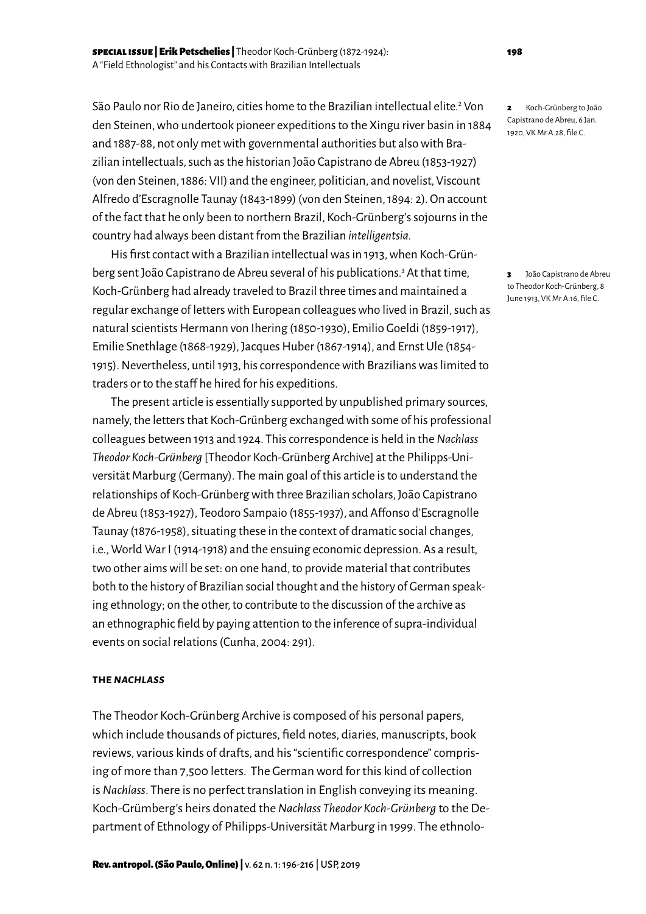São Paulo nor Rio de Janeiro, cities home to the Brazilian intellectual elite.<sup>2</sup> Von den Steinen, who undertook pioneer expeditions to the Xingu river basin in 1884 and 1887-88, not only met with governmental authorities but also with Brazilian intellectuals, such as the historian João Capistrano de Abreu (1853-1927) (von den Steinen, 1886: VII) and the engineer, politician, and novelist, Viscount Alfredo d'Escragnolle Taunay (1843-1899) (von den Steinen, 1894: 2). On account of the fact that he only been to northern Brazil, Koch-Grünberg's sojourns in the country had always been distant from the Brazilian *intelligentsia.*

His first contact with a Brazilian intellectual was in 1913, when Koch-Grünberg sent João Capistrano de Abreu several of his publications.<sup>3</sup> At that time, Koch-Grünberg had already traveled to Brazil three times and maintained a regular exchange of letters with European colleagues who lived in Brazil, such as natural scientists Hermann von Ihering (1850-1930), Emilio Goeldi (1859-1917), Emilie Snethlage (1868-1929), Jacques Huber (1867-1914), and Ernst Ule (1854- 1915). Nevertheless, until 1913, his correspondence with Brazilians was limited to traders or to the staff he hired for his expeditions.

The present article is essentially supported by unpublished primary sources, namely, the letters that Koch-Grünberg exchanged with some of his professional colleagues between 1913 and 1924. This correspondence is held in the *Nachlass Theodor Koch-Grünberg* [Theodor Koch-Grünberg Archive] at the Philipps-Universität Marburg (Germany). The main goal of this article is to understand the relationships of Koch-Grünberg with three Brazilian scholars, João Capistrano de Abreu (1853-1927), Teodoro Sampaio (1855-1937), and Affonso d'Escragnolle Taunay (1876-1958), situating these in the context of dramatic social changes, i.e., World War I (1914-1918) and the ensuing economic depression. As a result, two other aims will be set: on one hand, to provide material that contributes both to the history of Brazilian social thought and the history of German speaking ethnology; on the other, to contribute to the discussion of the archive as an ethnographic field by paying attention to the inference of supra-individual events on social relations (Cunha, 2004: 291).

#### **the** *nachlass*

The Theodor Koch-Grünberg Archive is composed of his personal papers, which include thousands of pictures, field notes, diaries, manuscripts, book reviews, various kinds of drafts, and his "scientific correspondence" comprising of more than 7,500 letters. The German word for this kind of collection is *Nachlass*. There is no perfect translation in English conveying its meaning. Koch-Grümberg's heirs donated the *Nachlass Theodor Koch-Grünberg* to the Department of Ethnology of Philipps-Universität Marburg in 1999. The ethnolo2 Koch-Grünberg to João Capistrano de Abreu, 6 Jan. 1920, VK Mr A.28, file C.

3 João Capistrano de Abreu to Theodor Koch-Grünberg, 8 June 1913, VK Mr A.16, file C.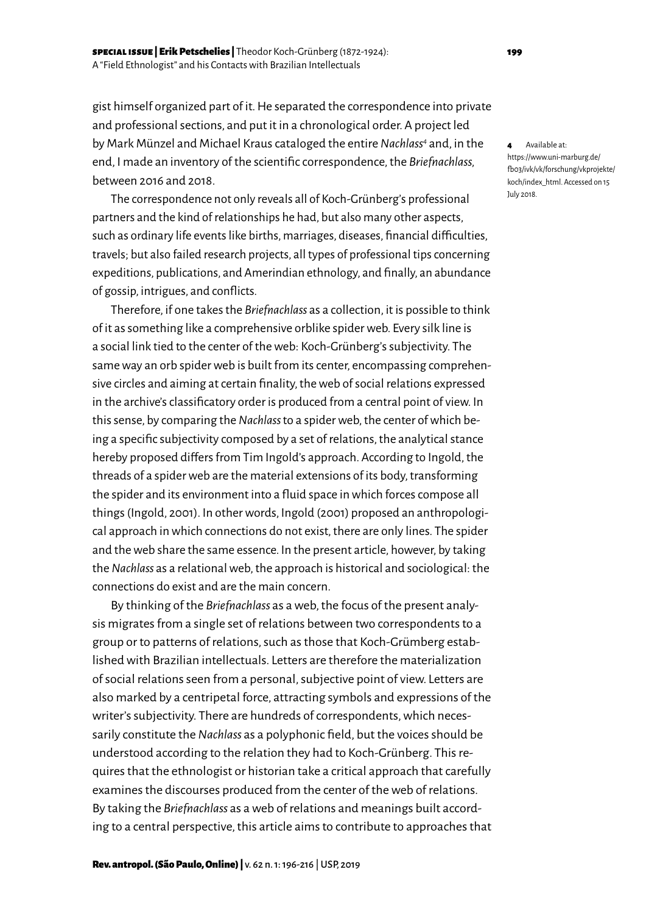Rev. antropol. (São Paulo, Online) | v. 62 n. 1: 196-216 | USP, 2019

gist himself organized part of it. He separated the correspondence into private and professional sections, and put it in a chronological order. A project led by Mark Münzel and Michael Kraus cataloged the entire *Nachlass4* and, in the end, I made an inventory of the scientific correspondence, the *Briefnachlass,*  between 2016 and 2018.

The correspondence not only reveals all of Koch-Grünberg's professional partners and the kind of relationships he had, but also many other aspects, such as ordinary life events like births, marriages, diseases, financial difficulties, travels; but also failed research projects, all types of professional tips concerning expeditions, publications, and Amerindian ethnology, and finally, an abundance of gossip, intrigues, and conflicts.

Therefore, if one takes the *Briefnachlass* as a collection, it is possible to think of it as something like a comprehensive orblike spider web. Every silk line is a social link tied to the center of the web: Koch-Grünberg's subjectivity. The same way an orb spider web is built from its center, encompassing comprehensive circles and aiming at certain finality, the web of social relations expressed in the archive's classificatory order is produced from a central point of view. In this sense, by comparing the *Nachlass* to a spider web, the center of which being a specific subjectivity composed by a set of relations, the analytical stance hereby proposed differs from Tim Ingold's approach. According to Ingold, the threads of a spider web are the material extensions of its body, transforming the spider and its environment into a fluid space in which forces compose all things (Ingold, 2001). In other words, Ingold (2001) proposed an anthropological approach in which connections do not exist, there are only lines. The spider and the web share the same essence. In the present article, however, by taking the *Nachlass* as a relational web, the approach is historical and sociological: the connections do exist and are the main concern.

By thinking of the *Briefnachlass* as a web, the focus of the present analysis migrates from a single set of relations between two correspondents to a group or to patterns of relations, such as those that Koch-Grümberg established with Brazilian intellectuals. Letters are therefore the materialization of social relations seen from a personal, subjective point of view. Letters are also marked by a centripetal force, attracting symbols and expressions of the writer's subjectivity. There are hundreds of correspondents, which necessarily constitute the *Nachlass* as a polyphonic field, but the voices should be understood according to the relation they had to Koch-Grünberg. This requires that the ethnologist or historian take a critical approach that carefully examines the discourses produced from the center of the web of relations. By taking the *Briefnachlass* as a web of relations and meanings built according to a central perspective, this article aims to contribute to approaches that 4 Available at: [https://www.uni-marburg.de/](https://www.uni-marburg.de/fb03/ivk/vk/forschung/vkprojekte/koch/index_html)  [fb03/ivk/vk/forschung/vkprojekte/](https://www.uni-marburg.de/fb03/ivk/vk/forschung/vkprojekte/koch/index_html) [koch/index\\_html](https://www.uni-marburg.de/fb03/ivk/vk/forschung/vkprojekte/koch/index_html). Accessed on 15 July 2018.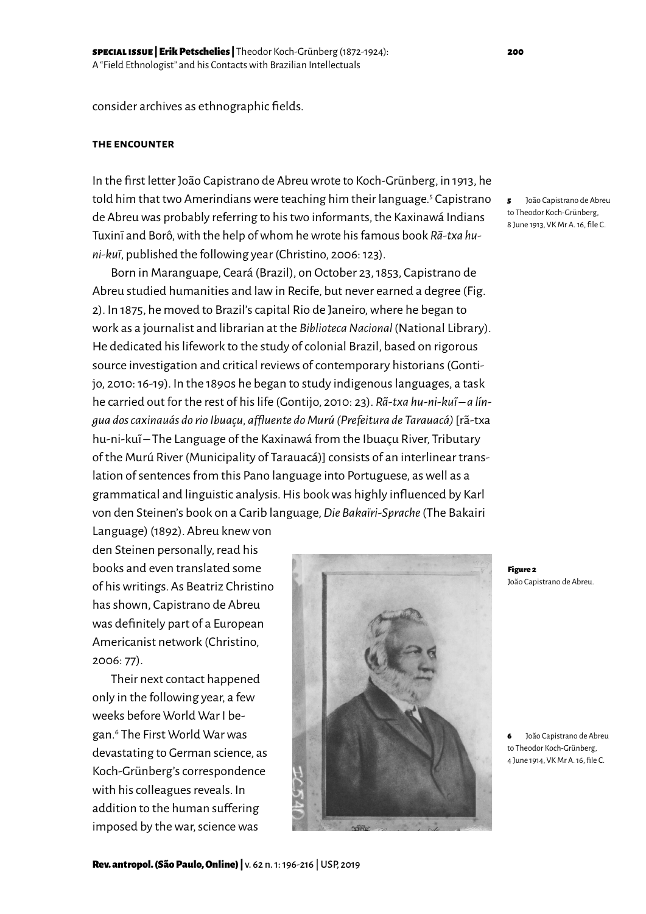consider archives as ethnographic fields.

#### **the encounter**

In the first letter João Capistrano de Abreu wrote to Koch-Grünberg, in 1913, he told him that two Amerindians were teaching him their language.<sup>5</sup> Capistrano de Abreu was probably referring to his two informants, the Kaxinawá Indians Tuxini and Borô, with the help of whom he wrote his famous book *Rã-txa huni-ku~i*, published the following year (Christino, 2006: 123).

Born in Maranguape, Ceará (Brazil), on October 23, 1853, Capistrano de Abreu studied humanities and law in Recife, but never earned a degree (Fig. 2). In 1875, he moved to Brazil's capital Rio de Janeiro, where he began to work as a journalist and librarian at the *Biblioteca Nacional* (National Library). He dedicated his lifework to the study of colonial Brazil, based on rigorous source investigation and critical reviews of contemporary historians (Gontijo, 2010: 16-19). In the 1890s he began to study indigenous languages, a task he carried out for the rest of his life (Gontijo, 2010: 23). *Rã-txa hu-ni-kui – a língua dos caxinauás do rio Ibuaçu, affluente do Murú (Prefeitura de Tarauacá)* [rã-txa hu-ni-kuĩ – The Language of the Kaxinawá from the Ibuaçu River, Tributary of the Murú River (Municipality of Tarauacá)] consists of an interlinear translation of sentences from this Pano language into Portuguese, as well as a grammatical and linguistic analysis. His book was highly influenced by Karl von den Steinen's book on a Carib language, *Die Bakaïri-Sprache* (The Bakairi

Language) (1892). Abreu knew von den Steinen personally, read his books and even translated some of his writings. As Beatriz Christino has shown, Capistrano de Abreu was definitely part of a European Americanist network (Christino, 2006: 77).

Their next contact happened only in the following year, a few weeks before World War I began.<sup>6</sup> The First World War was devastating to German science, as Koch-Grünberg's correspondence with his colleagues reveals. In addition to the human suffering imposed by the war, science was

5 João Capistrano de Abreu to Theodor Koch-Grünberg, 8 June 1913, VK Mr A. 16, file C.



6 João Capistrano de Abreu to Theodor Koch-Grünberg, 4 June 1914, VK Mr A. 16, file C.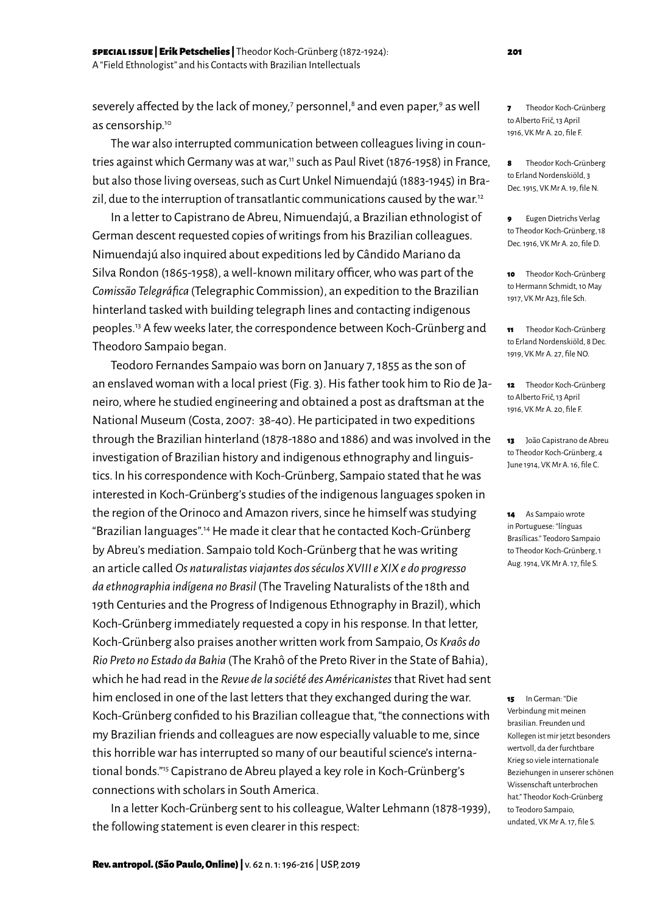severely affected by the lack of money,<sup>7</sup> personnel,<sup>8</sup> and even paper,<sup>9</sup> as well as censorship.<sup>10</sup>

The war also interrupted communication between colleagues living in countries against which Germany was at war,<sup>11</sup> such as Paul Rivet (1876-1958) in France, but also those living overseas, such as Curt Unkel Nimuendajú (1883-1945) in Brazil, due to the interruption of transatlantic communications caused by the war.<sup>12</sup>

In a letter to Capistrano de Abreu, Nimuendajú, a Brazilian ethnologist of German descent requested copies of writings from his Brazilian colleagues. Nimuendajú also inquired about expeditions led by Cândido Mariano da Silva Rondon (1865-1958), a well-known military officer, who was part of the *Comissão Telegráfica* (Telegraphic Commission), an expedition to the Brazilian hinterland tasked with building telegraph lines and contacting indigenous peoples.13 A few weeks later, the correspondence between Koch-Grünberg and Theodoro Sampaio began.

Teodoro Fernandes Sampaio was born on January 7, 1855 as the son of an enslaved woman with a local priest (Fig. 3). His father took him to Rio de Janeiro, where he studied engineering and obtained a post as draftsman at the National Museum (Costa, 2007: 38-40). He participated in two expeditions through the Brazilian hinterland (1878-1880 and 1886) and was involved in the investigation of Brazilian history and indigenous ethnography and linguistics. In his correspondence with Koch-Grünberg, Sampaio stated that he was interested in Koch-Grünberg's studies of the indigenous languages spoken in the region of the Orinoco and Amazon rivers, since he himself was studying "Brazilian languages".14 He made it clear that he contacted Koch-Grünberg by Abreu's mediation. Sampaio told Koch-Grünberg that he was writing an article called *Os naturalistas viajantes dos séculos XVIII e XIX e do progresso da ethnographia indígena no Brasil* (The Traveling Naturalists of the 18th and 19th Centuries and the Progress of Indigenous Ethnography in Brazil), which Koch-Grünberg immediately requested a copy in his response. In that letter, Koch-Grünberg also praises another written work from Sampaio, *Os Kraôs do Rio Preto no Estado da Bahia* (The Krahô of the Preto River in the State of Bahia), which he had read in the *Revue de la société des Américanistes* that Rivet had sent him enclosed in one of the last letters that they exchanged during the war. Koch-Grünberg confided to his Brazilian colleague that, "the connections with my Brazilian friends and colleagues are now especially valuable to me, since this horrible war has interrupted so many of our beautiful science's international bonds."15 Capistrano de Abreu played a key role in Koch-Grünberg's connections with scholars in South America.

In a letter Koch-Grünberg sent to his colleague, Walter Lehmann (1878-1939), the following statement is even clearer in this respect:

7 Theodor Koch-Grünberg to Alberto Frič, 13 April 1916, VK Mr A. 20, file F.

8 Theodor Koch-Grünberg to Erland Nordenskiöld, 3 Dec. 1915, VK Mr A. 19, file N.

9 Eugen Dietrichs Verlag to Theodor Koch-Grünberg, 18 Dec. 1916, VK Mr A. 20, file D.

10 Theodor Koch-Grünberg to Hermann Schmidt, 10 May 1917, VK Mr A23, file Sch.

11 Theodor Koch-Grünberg to Erland Nordenskiöld, 8 Dec. 1919, VK Mr A. 27, file NO.

12 Theodor Koch-Grünberg to Alberto Frič, 13 April 1916, VK Mr A. 20, file F.

13 João Capistrano de Abreu to Theodor Koch-Grünberg, 4 June 1914, VK Mr A. 16, file C.

14 As Sampaio wrote in Portuguese: "línguas Brasílicas." Teodoro Sampaio to Theodor Koch-Grünberg, 1 Aug. 1914, VK Mr A. 17, file S.

15 In German: "Die Verbindung mit meinen brasilian. Freunden und Kollegen ist mir jetzt besonders wertvoll, da der furchtbare Krieg so viele internationale Beziehungen in unserer schönen Wissenschaft unterbrochen hat." Theodor Koch-Grünberg to Teodoro Sampaio, undated, VK Mr A. 17, file S.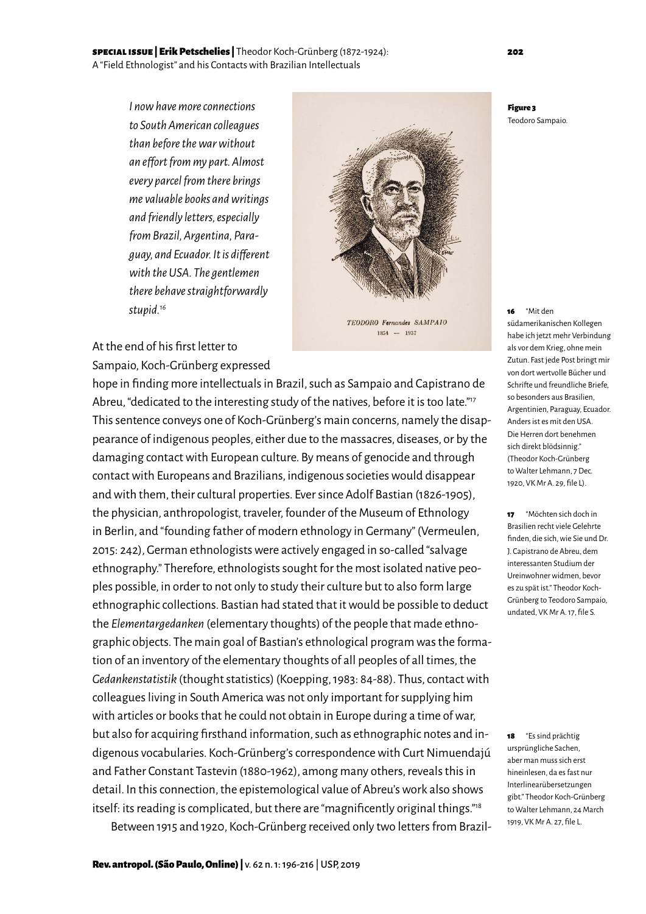# special issue | Erik Petschelies | Theodor Koch-Grünberg (1872-1924): 202 A "Field Ethnologist" and his Contacts with Brazilian Intellectuals

*I now have more connections to South American colleagues than before the war without an effort from my part. Almost every parcel from there brings me valuable books and writings and friendly letters, especially from Brazil, Argentina, Paraguay, and Ecuador. It is different with the USA. The gentlemen there behave straightforwardly stupid.16*



TEODORO Fernandes SAMPAIO  $1854 - 1937$ 

# At the end of his first letter to Sampaio, Koch-Grünberg expressed

hope in finding more intellectuals in Brazil, such as Sampaio and Capistrano de Abreu, "dedicated to the interesting study of the natives, before it is too late."<sup>17</sup> This sentence conveys one of Koch-Grünberg's main concerns, namely the disappearance of indigenous peoples, either due to the massacres, diseases, or by the damaging contact with European culture. By means of genocide and through contact with Europeans and Brazilians, indigenous societies would disappear and with them, their cultural properties. Ever since Adolf Bastian (1826-1905), the physician, anthropologist, traveler, founder of the Museum of Ethnology in Berlin, and "founding father of modern ethnology in Germany" (Vermeulen, 2015: 242), German ethnologists were actively engaged in so-called "salvage ethnography." Therefore, ethnologists sought for the most isolated native peoples possible, in order to not only to study their culture but to also form large ethnographic collections. Bastian had stated that it would be possible to deduct the *Elementargedanken* (elementary thoughts) of the people that made ethnographic objects. The main goal of Bastian's ethnological program was the formation of an inventory of the elementary thoughts of all peoples of all times, the *Gedankenstatistik* (thought statistics) (Koepping, 1983: 84-88). Thus, contact with colleagues living in South America was not only important for supplying him with articles or books that he could not obtain in Europe during a time of war, but also for acquiring firsthand information, such as ethnographic notes and indigenous vocabularies. Koch-Grünberg's correspondence with Curt Nimuendajú and Father Constant Tastevin (1880-1962), among many others, reveals this in detail. In this connection, the epistemological value of Abreu's work also shows itself: its reading is complicated, but there are "magnificently original things."18

Between 1915 and 1920, Koch-Grünberg received only two letters from Brazil-

Figure 3 Teodoro Sampaio.

16 "Mit den südamerikanischen Kollegen habe ich jetzt mehr Verbindung als vor dem Krieg, ohne mein Zutun. Fast jede Post bringt mir von dort wertvolle Bücher und Schrifte und freundliche Briefe, so besonders aus Brasilien, Argentinien, Paraguay, Ecuador. Anders ist es mit den USA. Die Herren dort benehmen sich direkt blödsinnig." (Theodor Koch-Grünberg to Walter Lehmann, 7 Dec. 1920, VK Mr A. 29, file L).

17 "Möchten sich doch in Brasilien recht viele Gelehrte finden, die sich, wie Sie und Dr. J. Capistrano de Abreu, dem interessanten Studium der Ureinwohner widmen, bevor es zu spät ist." Theodor Koch-Grünberg to Teodoro Sampaio, undated, VK Mr A. 17, file S.

18 "Es sind prächtig ursprüngliche Sachen, aber man muss sich erst hineinlesen, da es fast nur Interlinearübersetzungen gibt." Theodor Koch-Grünberg to Walter Lehmann, 24 March 1919, VK Mr A. 27, file L.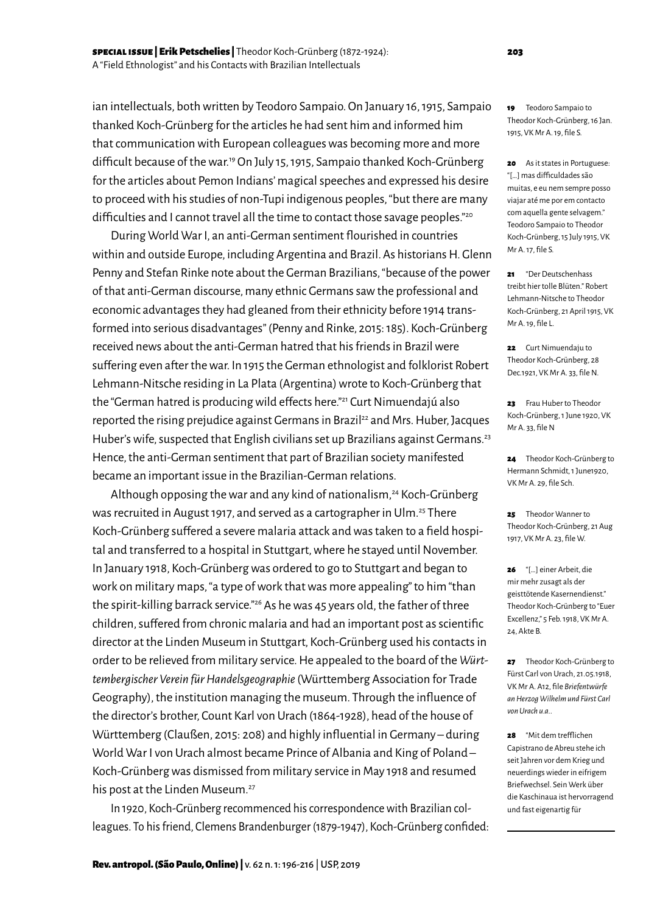ian intellectuals, both written by Teodoro Sampaio. On January 16, 1915, Sampaio thanked Koch-Grünberg for the articles he had sent him and informed him that communication with European colleagues was becoming more and more difficult because of the war.19 On July 15, 1915, Sampaio thanked Koch-Grünberg for the articles about Pemon Indians' magical speeches and expressed his desire to proceed with his studies of non-Tupi indigenous peoples, "but there are many difficulties and I cannot travel all the time to contact those savage peoples."<sup>20</sup>

During World War I, an anti-German sentiment flourished in countries within and outside Europe, including Argentina and Brazil. As historians H. Glenn Penny and Stefan Rinke note about the German Brazilians, "because of the power of that anti-German discourse, many ethnic Germans saw the professional and economic advantages they had gleaned from their ethnicity before 1914 transformed into serious disadvantages" (Penny and Rinke, 2015: 185). Koch-Grünberg received news about the anti-German hatred that his friends in Brazil were suffering even after the war. In 1915 the German ethnologist and folklorist Robert Lehmann-Nitsche residing in La Plata (Argentina) wrote to Koch-Grünberg that the "German hatred is producing wild effects here."21 Curt Nimuendajú also reported the rising prejudice against Germans in Brazil<sup>22</sup> and Mrs. Huber, Jacques Huber's wife, suspected that English civilians set up Brazilians against Germans.<sup>23</sup> Hence, the anti-German sentiment that part of Brazilian society manifested became an important issue in the Brazilian-German relations.

Although opposing the war and any kind of nationalism,<sup>24</sup> Koch-Grünberg was recruited in August 1917, and served as a cartographer in Ulm.<sup>25</sup> There Koch-Grünberg suffered a severe malaria attack and was taken to a field hospital and transferred to a hospital in Stuttgart, where he stayed until November. In January 1918, Koch-Grünberg was ordered to go to Stuttgart and began to work on military maps, "a type of work that was more appealing" to him "than the spirit-killing barrack service."<sup>26</sup> As he was 45 years old, the father of three children, suffered from chronic malaria and had an important post as scientific director at the Linden Museum in Stuttgart, Koch-Grünberg used his contacts in order to be relieved from military service. He appealed to the board of the *Württembergischer Verein für Handelsgeographie* (Württemberg Association for Trade Geography), the institution managing the museum. Through the influence of the director's brother, Count Karl von Urach (1864-1928), head of the house of Württemberg (Claußen, 2015: 208) and highly influential in Germany – during World War I von Urach almost became Prince of Albania and King of Poland – Koch-Grünberg was dismissed from military service in May 1918 and resumed his post at the Linden Museum.<sup>27</sup>

In 1920, Koch-Grünberg recommenced his correspondence with Brazilian colleagues. To his friend, Clemens Brandenburger (1879-1947), Koch-Grünberg confided: 20 As it states in Portuguese: "[…] mas difficuldades são muitas, e eu nem sempre posso viajar até me por em contacto com aquella gente selvagem." Teodoro Sampaio to Theodor Koch-Grünberg, 15 July 1915, VK Mr A. 17, file S.

21 "Der Deutschenhass treibt hier tolle Blüten." Robert Lehmann-Nitsche to Theodor Koch-Grünberg, 21 April 1915, VK Mr A. 19, file L.

22 Curt Nimuendaju to Theodor Koch-Grünberg, 28 Dec.1921, VK Mr A. 33, file N.

22 Frau Huber to Theodor Koch-Grünberg, 1 June 1920, VK Mr A. 33, file N

24 Theodor Koch-Grünberg to Hermann Schmidt, 1 June1920, VK Mr A. 29, file Sch.

25 Theodor Wanner to Theodor Koch-Grünberg, 21 Aug 1917, VK Mr A. 23, file W.

26 "[…] einer Arbeit, die mir mehr zusagt als der geisttötende Kasernendienst." Theodor Koch-Grünberg to "Euer Excellenz," 5 Feb. 1918, VK Mr A. 24, Akte B.

27 Theodor Koch-Grünberg to Fürst Carl von Urach, 21.05.1918, VK Mr A. A12, file *Briefentwürfe an Herzog Wilhelm und Fürst Carl von Urach u.a..*

28 "Mit dem trefflichen Capistrano de Abreu stehe ich seit Jahren vor dem Krieg und neuerdings wieder in eifrigem Briefwechsel. Sein Werk über die Kaschinaua ist hervorragend und fast eigenartig für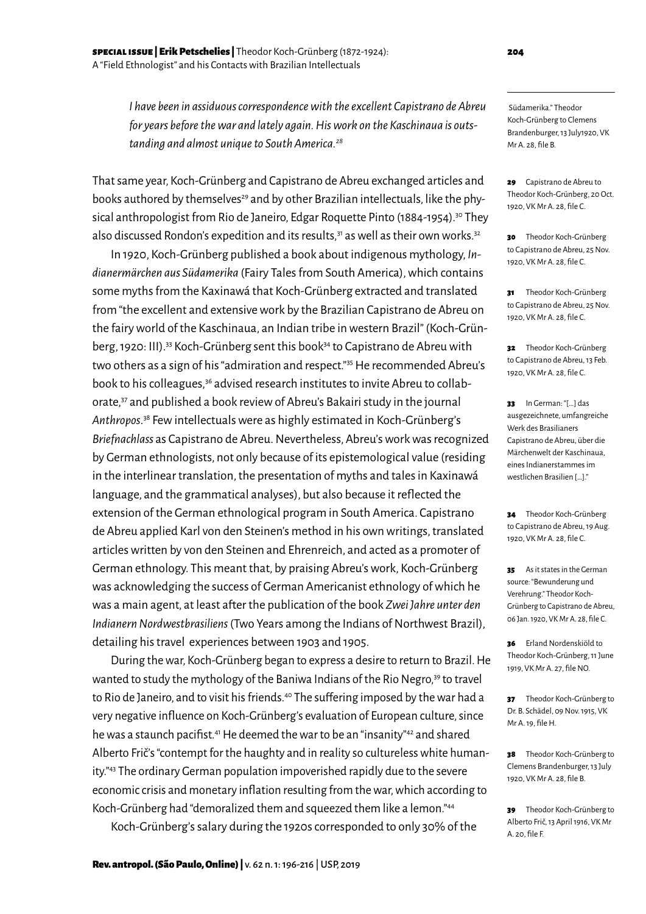*I have been in assiduous correspondence with the excellent Capistrano de Abreu for years before the war and lately again. His work on the Kaschinaua is outstanding and almost unique to South America.28*

That same year, Koch-Grünberg and Capistrano de Abreu exchanged articles and books authored by themselves<sup>29</sup> and by other Brazilian intellectuals, like the physical anthropologist from Rio de Janeiro, Edgar Roquette Pinto (1884-1954).<sup>30</sup> They also discussed Rondon's expedition and its results, $31$  as well as their own works. $32$ 

In 1920, Koch-Grünberg published a book about indigenous mythology, *Indianermärchen aus Südamerika* (Fairy Tales from South America), which contains some myths from the Kaxinawá that Koch-Grünberg extracted and translated from "the excellent and extensive work by the Brazilian Capistrano de Abreu on the fairy world of the Kaschinaua, an Indian tribe in western Brazil" (Koch-Grünberg, 1920: III).<sup>33</sup> Koch-Grünberg sent this book<sup>34</sup> to Capistrano de Abreu with two others as a sign of his "admiration and respect."<sup>35</sup> He recommended Abreu's book to his colleagues,<sup>36</sup> advised research institutes to invite Abreu to collaborate,<sup>37</sup> and published a book review of Abreu's Bakairi study in the journal *Anthropos*. 38 Few intellectuals were as highly estimated in Koch-Grünberg's *Briefnachlass* as Capistrano de Abreu. Nevertheless, Abreu's work was recognized by German ethnologists, not only because of its epistemological value (residing in the interlinear translation, the presentation of myths and tales in Kaxinawá language, and the grammatical analyses), but also because it reflected the extension of the German ethnological program in South America. Capistrano de Abreu applied Karl von den Steinen's method in his own writings, translated articles written by von den Steinen and Ehrenreich, and acted as a promoter of German ethnology. This meant that, by praising Abreu's work, Koch-Grünberg was acknowledging the success of German Americanist ethnology of which he was a main agent, at least after the publication of the book *Zwei Jahre unter den Indianern Nordwestbrasiliens* (Two Years among the Indians of Northwest Brazil), detailing his travel experiences between 1903 and 1905.

During the war, Koch-Grünberg began to express a desire to return to Brazil. He wanted to study the mythology of the Baniwa Indians of the Rio Negro,<sup>39</sup> to travel to Rio de Janeiro, and to visit his friends.<sup>40</sup> The suffering imposed by the war had a very negative influence on Koch-Grünberg's evaluation of European culture, since he was a staunch pacifist.<sup>41</sup> He deemed the war to be an "insanity"<sup>42</sup> and shared Alberto Frič's "contempt for the haughty and in reality so cultureless white humanity."43 The ordinary German population impoverished rapidly due to the severe economic crisis and monetary inflation resulting from the war, which according to Koch-Grünberg had "demoralized them and squeezed them like a lemon."44

Koch-Grünberg's salary during the 1920s corresponded to only 30% of the

 Südamerika." Theodor Koch-Grünberg to Clemens Brandenburger, 13 July1920, VK Mr A. 28, file B.

29 Capistrano de Abreu to Theodor Koch-Grünberg, 20 Oct. 1920, VK Mr A. 28, file C.

30 Theodor Koch-Grünberg to Capistrano de Abreu, 25 Nov. 1920, VK Mr A. 28, file C.

31 Theodor Koch-Grünberg to Capistrano de Abreu, 25 Nov. 1920, VK Mr A. 28, file C.

32 Theodor Koch-Grünberg to Capistrano de Abreu, 13 Feb. 1920, VK Mr A. 28, file C.

33 In German: "[…] das ausgezeichnete, umfangreiche Werk des Brasilianers Capistrano de Abreu, über die Märchenwelt der Kaschinaua, eines Indianerstammes im westlichen Brasilien […]."

34 Theodor Koch-Grünberg to Capistrano de Abreu, 19 Aug. 1920, VK Mr A. 28, file C.

35 As it states in the German source: "Bewunderung und Verehrung." Theodor Koch-Grünberg to Capistrano de Abreu, 06 Jan. 1920, VK Mr A. 28, file C.

36 Erland Nordenskiöld to Theodor Koch-Grünberg, 11 June 1919, VK Mr A. 27, file NO.

37 Theodor Koch-Grünberg to Dr. B. Schädel, 09 Nov. 1915, VK Mr A. 19, file H.

38 Theodor Koch-Grünberg to Clemens Brandenburger, 13 July 1920, VK Mr A. 28, file B.

39 Theodor Koch-Grünberg to Alberto Frič, 13 April 1916, VK Mr A. 20, file F.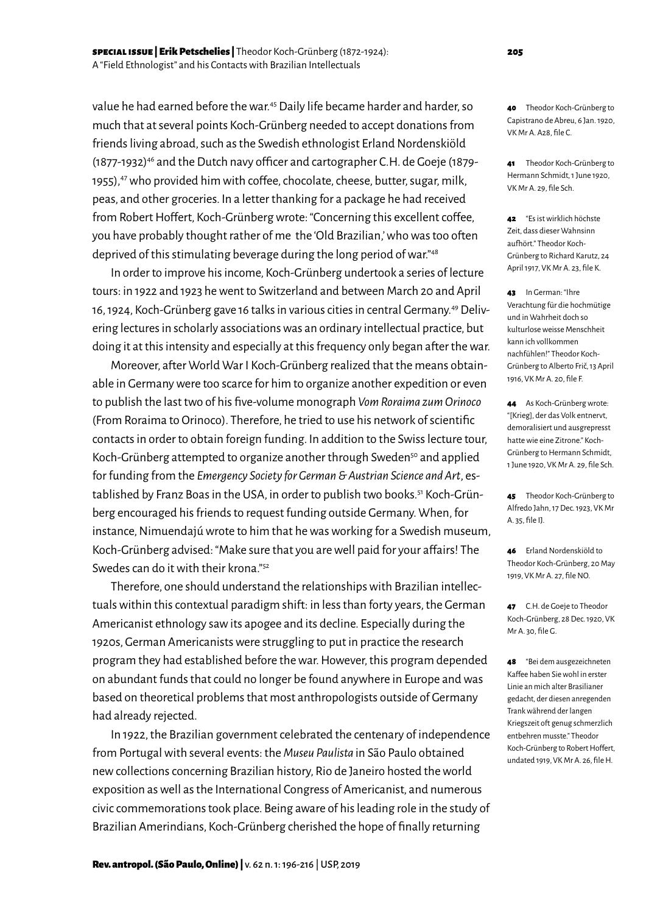value he had earned before the war.<sup>45</sup> Daily life became harder and harder, so much that at several points Koch-Grünberg needed to accept donations from friends living abroad, such as the Swedish ethnologist Erland Nordenskiöld (1877-1932)46 and the Dutch navy officer and cartographer C.H. de Goeje (1879- 1955),<sup>47</sup> who provided him with coffee, chocolate, cheese, butter, sugar, milk, peas, and other groceries. In a letter thanking for a package he had received from Robert Hoffert, Koch-Grünberg wrote: "Concerning this excellent coffee, you have probably thought rather of me the 'Old Brazilian,' who was too often deprived of this stimulating beverage during the long period of war."48

In order to improve his income, Koch-Grünberg undertook a series of lecture tours: in 1922 and 1923 he went to Switzerland and between March 20 and April 16, 1924, Koch-Grünberg gave 16 talks in various cities in central Germany.49 Delivering lectures in scholarly associations was an ordinary intellectual practice, but doing it at this intensity and especially at this frequency only began after the war.

Moreover, after World War I Koch-Grünberg realized that the means obtainable in Germany were too scarce for him to organize another expedition or even to publish the last two of his five-volume monograph *Vom Roraima zum Orinoco*  (From Roraima to Orinoco). Therefore, he tried to use his network of scientific contacts in order to obtain foreign funding. In addition to the Swiss lecture tour, Koch-Grünberg attempted to organize another through Sweden<sup>50</sup> and applied for funding from the *Emergency Society for German & Austrian Science and Art*, established by Franz Boas in the USA, in order to publish two books.<sup>51</sup> Koch-Grünberg encouraged his friends to request funding outside Germany. When, for instance, Nimuendajú wrote to him that he was working for a Swedish museum, Koch-Grünberg advised: "Make sure that you are well paid for your affairs! The Swedes can do it with their krona."52

Therefore, one should understand the relationships with Brazilian intellectuals within this contextual paradigm shift: in less than forty years, the German Americanist ethnology saw its apogee and its decline. Especially during the 1920s, German Americanists were struggling to put in practice the research program they had established before the war. However, this program depended on abundant funds that could no longer be found anywhere in Europe and was based on theoretical problems that most anthropologists outside of Germany had already rejected.

In 1922, the Brazilian government celebrated the centenary of independence from Portugal with several events: the *Museu Paulista* in São Paulo obtained new collections concerning Brazilian history, Rio de Janeiro hosted the world exposition as well as the International Congress of Americanist, and numerous civic commemorations took place. Being aware of his leading role in the study of Brazilian Amerindians, Koch-Grünberg cherished the hope of finally returning

40 Theodor Koch-Grünberg to Capistrano de Abreu, 6 Jan. 1920, VK Mr A. A28, file C.

41 Theodor Koch-Grünberg to Hermann Schmidt, 1 June 1920, VK Mr A. 29, file Sch.

42 "Es ist wirklich höchste Zeit, dass dieser Wahnsinn aufhört." Theodor Koch-Grünberg to Richard Karutz, 24 April 1917, VK Mr A. 23, file K.

43 In German: "Ihre Verachtung für die hochmütige und in Wahrheit doch so kulturlose weisse Menschheit kann ich vollkommen nachfühlen!" Theodor Koch-Grünberg to Alberto Frič, 13 April 1916, VK Mr A. 20, file F.

44 As Koch-Grünberg wrote: "[Krieg], der das Volk entnervt, demoralisiert und ausgrepresst hatte wie eine Zitrone" Koch-Grünberg to Hermann Schmidt, 1 June 1920, VK Mr A. 29, file Sch.

45 Theodor Koch-Grünberg to Alfredo Jahn, 17 Dec. 1923, VK Mr A. 35, file IJ.

46 Erland Nordenskiöld to Theodor Koch-Grünberg, 20 May 1919, VK Mr A. 27, file NO.

47 C.H. de Goeje to Theodor Koch-Grünberg, 28 Dec. 1920, VK Mr A. 30, file G.

48 "Bei dem ausgezeichneten Kaffee haben Sie wohl in erster Linie an mich alter Brasilianer gedacht, der diesen anregenden Trank während der langen Kriegszeit oft genug schmerzlich entbehren musste." Theodor Koch-Grünberg to Robert Hoffert, undated 1919, VK Mr A. 26, file H.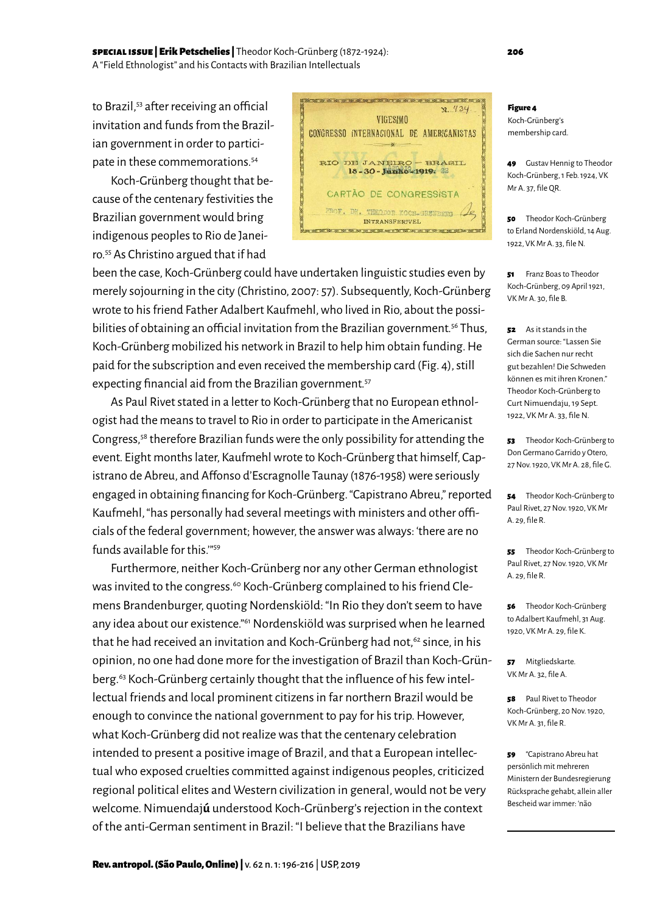### special issue | Erik Petschelies | Theodor Koch-Grünberg (1872-1924): 206 A "Field Ethnologist" and his Contacts with Brazilian Intellectuals

to Brazil,<sup>53</sup> after receiving an official invitation and funds from the Brazilian government in order to participate in these commemorations.54

Koch-Grünberg thought that because of the centenary festivities the Brazilian government would bring indigenous peoples to Rio de Janeiro.55 As Christino argued that if had

been the case, Koch-Grünberg could have undertaken linguistic studies even by merely sojourning in the city (Christino, 2007: 57). Subsequently, Koch-Grünberg wrote to his friend Father Adalbert Kaufmehl, who lived in Rio, about the possibilities of obtaining an official invitation from the Brazilian government.<sup>56</sup> Thus, Koch-Grünberg mobilized his network in Brazil to help him obtain funding. He paid for the subscription and even received the membership card (Fig. 4), still expecting financial aid from the Brazilian government.<sup>57</sup>

As Paul Rivet stated in a letter to Koch-Grünberg that no European ethnologist had the means to travel to Rio in order to participate in the Americanist Congress,58 therefore Brazilian funds were the only possibility for attending the event. Eight months later, Kaufmehl wrote to Koch-Grünberg that himself, Capistrano de Abreu, and Affonso d'Escragnolle Taunay (1876-1958) were seriously engaged in obtaining financing for Koch-Grünberg. "Capistrano Abreu," reported Kaufmehl, "has personally had several meetings with ministers and other officials of the federal government; however, the answer was always: 'there are no funds available for this.'"59

Furthermore, neither Koch-Grünberg nor any other German ethnologist was invited to the congress.<sup>60</sup> Koch-Grünberg complained to his friend Clemens Brandenburger, quoting Nordenskiöld: "In Rio they don't seem to have any idea about our existence."61 Nordenskiöld was surprised when he learned that he had received an invitation and Koch-Grünberg had not,<sup>62</sup> since, in his opinion, no one had done more for the investigation of Brazil than Koch-Grünberg.63 Koch-Grünberg certainly thought that the influence of his few intellectual friends and local prominent citizens in far northern Brazil would be enough to convince the national government to pay for his trip. However, what Koch-Grünberg did not realize was that the centenary celebration intended to present a positive image of Brazil, and that a European intellectual who exposed cruelties committed against indigenous peoples, criticized regional political elites and Western civilization in general, would not be very welcome. Nimuendaj**ú** understood Koch-Grünberg's rejection in the context of the anti-German sentiment in Brazil: "I believe that the Brazilians have

#### Figure 4

**VICESIMO** CONGRESSO INTERNACIONAL DE AMERICANISTAS

RIO DE JANEIRO – BRASIL<br>18-30-Junio-1919: 33

CARTÃO DE CONGRESSISTA F. DR. THEODOR KOCH-GE

INTRANSFERIVEL 

x. 434

UNBERG (

Koch-Grünberg's membership card.

49 Gustav Hennig to Theodor Koch-Grünberg, 1 Feb. 1924, VK Mr A. 37, file QR.

50 Theodor Koch-Grünberg to Erland Nordenskiöld, 14 Aug. 1922, VK Mr A. 33, file N.

51 Franz Boas to Theodor Koch-Grünberg, 09 April 1921, VK Mr A. 30, file B.

52 As it stands in the German source: "Lassen Sie sich die Sachen nur recht gut bezahlen! Die Schweden können es mit ihren Kronen." Theodor Koch-Grünberg to Curt Nimuendaju, 19 Sept. 1922, VK Mr A. 33, file N.

53 Theodor Koch-Grünberg to Don Germano Garrido y Otero, 27 Nov. 1920, VK Mr A. 28, file G.

54 Theodor Koch-Grünberg to Paul Rivet, 27 Nov. 1920, VK Mr A. 29, file R.

55 Theodor Koch-Grünberg to Paul Rivet, 27 Nov. 1920, VK Mr A. 29, file R.

56 Theodor Koch-Grünberg to Adalbert Kaufmehl, 31 Aug. 1920, VK Mr A. 29, file K.

57 Mitgliedskarte. VK Mr A. 32, file A.

58 Paul Rivet to Theodor Koch-Grünberg, 20 Nov. 1920, VK Mr A. 31, file R.

59 "Capistrano Abreu hat persönlich mit mehreren Ministern der Bundesregierung Rücksprache gehabt, allein aller Bescheid war immer: 'não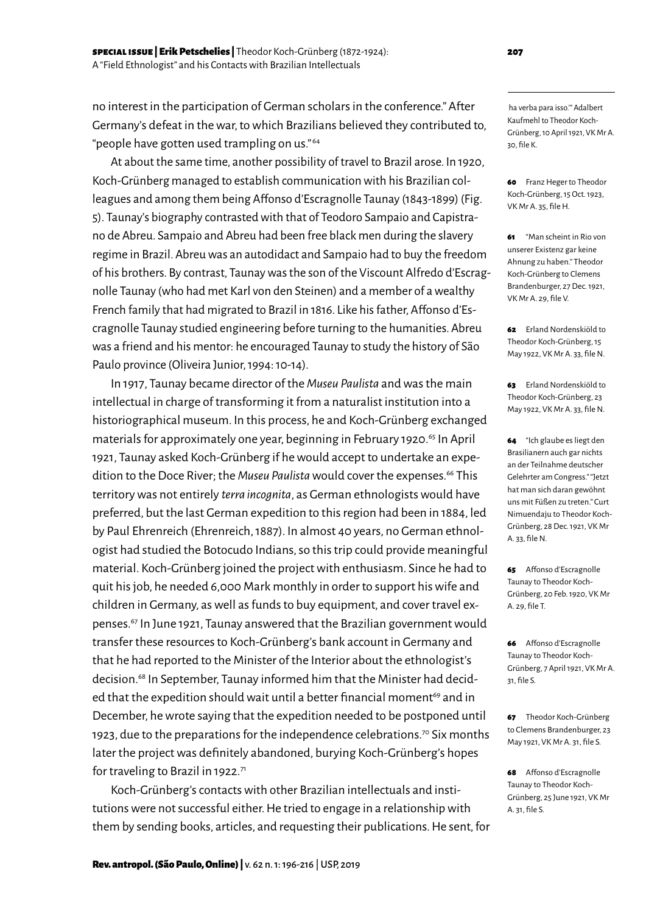no interest in the participation of German scholars in the conference." After Germany's defeat in the war, to which Brazilians believed they contributed to, "people have gotten used trampling on us." 64

At about the same time, another possibility of travel to Brazil arose. In 1920, Koch-Grünberg managed to establish communication with his Brazilian colleagues and among them being Affonso d'Escragnolle Taunay (1843-1899) (Fig. 5). Taunay's biography contrasted with that of Teodoro Sampaio and Capistrano de Abreu. Sampaio and Abreu had been free black men during the slavery regime in Brazil. Abreu was an autodidact and Sampaio had to buy the freedom of his brothers. By contrast, Taunay was the son of the Viscount Alfredo d'Escragnolle Taunay (who had met Karl von den Steinen) and a member of a wealthy French family that had migrated to Brazil in 1816. Like his father, Affonso d'Escragnolle Taunay studied engineering before turning to the humanities. Abreu was a friend and his mentor: he encouraged Taunay to study the history of São Paulo province (Oliveira Junior, 1994: 10-14).

In 1917, Taunay became director of the *Museu Paulista* and was the main intellectual in charge of transforming it from a naturalist institution into a historiographical museum. In this process, he and Koch-Grünberg exchanged materials for approximately one year, beginning in February 1920.<sup>65</sup> In April 1921, Taunay asked Koch-Grünberg if he would accept to undertake an expedition to the Doce River; the Museu Paulista would cover the expenses.<sup>66</sup> This territory was not entirely *terra incognita*, as German ethnologists would have preferred, but the last German expedition to this region had been in 1884, led by Paul Ehrenreich (Ehrenreich, 1887). In almost 40 years, no German ethnologist had studied the Botocudo Indians, so this trip could provide meaningful material. Koch-Grünberg joined the project with enthusiasm. Since he had to quit his job, he needed 6,000 Mark monthly in order to support his wife and children in Germany, as well as funds to buy equipment, and cover travel expenses.67 In June 1921, Taunay answered that the Brazilian government would transfer these resources to Koch-Grünberg's bank account in Germany and that he had reported to the Minister of the Interior about the ethnologist's decision.<sup>68</sup> In September, Taunay informed him that the Minister had decided that the expedition should wait until a better financial moment<sup>69</sup> and in December, he wrote saying that the expedition needed to be postponed until 1923, due to the preparations for the independence celebrations.<sup>70</sup> Six months later the project was definitely abandoned, burying Koch-Grünberg's hopes for traveling to Brazil in 1922.<sup>71</sup>

Koch-Grünberg's contacts with other Brazilian intellectuals and institutions were not successful either. He tried to engage in a relationship with them by sending books, articles, and requesting their publications. He sent, for

 ha verba para isso.'" Adalbert Kaufmehl to Theodor Koch-Grünberg, 10 April 1921, VK Mr A. 30, file K.

60 Franz Heger to Theodor Koch-Grünberg, 15 Oct. 1923, VK Mr A. 35, file H.

61 "Man scheint in Rio von unserer Existenz gar keine Ahnung zu haben." Theodor Koch-Grünberg to Clemens Brandenburger, 27 Dec. 1921, VK Mr A. 29, file V.

62 Frland Nordenskiöld to Theodor Koch-Grünberg, 15 May 1922, VK Mr A. 33, file N.

63 Erland Nordenskiöld to Theodor Koch-Grünberg, 23 May 1922, VK Mr A. 33, file N.

64 "Ich glaube es liegt den Brasilianern auch gar nichts an der Teilnahme deutscher Gelehrter am Congress." "Jetzt hat man sich daran gewöhnt uns mit Füßen zu treten." Curt Nimuendaju to Theodor Koch-Grünberg, 28 Dec. 1921, VK Mr A. 33, file N.

65 Affonso d'Escragnolle Taunay to Theodor Koch-Grünberg, 20 Feb. 1920, VK Mr A. 29, file T.

66 Affonso d'Escragnolle Taunay to Theodor Koch-Grünberg, 7 April 1921, VK Mr A. 31, file S.

67 Theodor Koch-Grünberg to Clemens Brandenburger, 23 May 1921, VK Mr A. 31, file S.

68 Affonso d'Escragnolle Taunay to Theodor Koch-Grünberg, 25 June 1921, VK Mr A. 31, file S.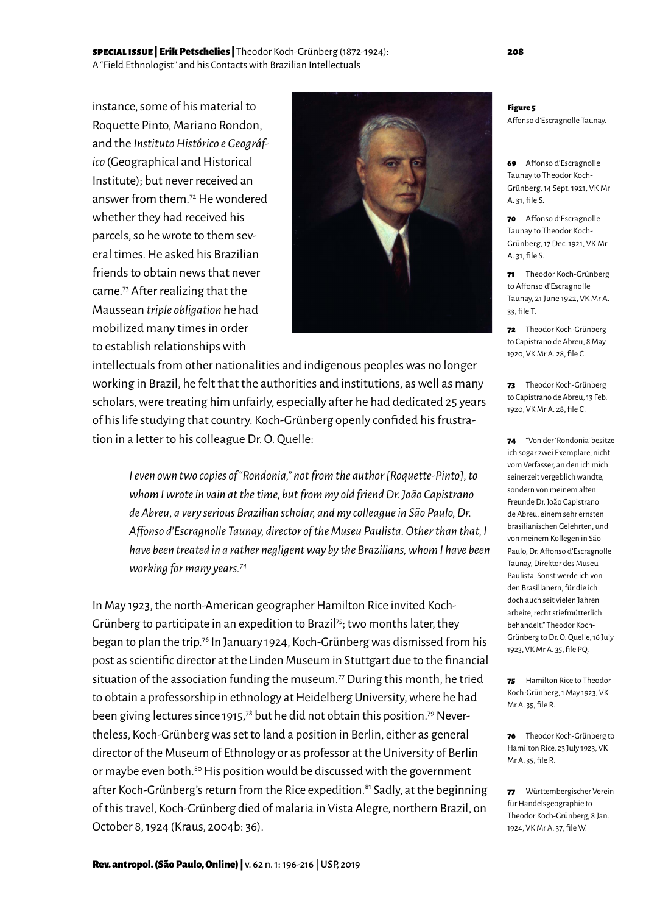# special issue | Erik Petschelies | Theodor Koch-Grünberg (1872-1924): 208 A "Field Ethnologist" and his Contacts with Brazilian Intellectuals

instance, some of his material to Roquette Pinto, Mariano Rondon, and the *Instituto Histórico e Geográfico* (Geographical and Historical Institute); but never received an answer from them.72 He wondered whether they had received his parcels, so he wrote to them several times. He asked his Brazilian friends to obtain news that never came.73 After realizing that the Maussean *triple obligation* he had mobilized many times in order to establish relationships with



intellectuals from other nationalities and indigenous peoples was no longer working in Brazil, he felt that the authorities and institutions, as well as many scholars, were treating him unfairly, especially after he had dedicated 25 years of his life studying that country. Koch-Grünberg openly confided his frustration in a letter to his colleague Dr. O. Quelle:

*I even own two copies of "Rondonia," not from the author [Roquette-Pinto], to whom I wrote in vain at the time, but from my old friend Dr. João Capistrano de Abreu, a very serious Brazilian scholar, and my colleague in São Paulo, Dr. Affonso d'Escragnolle Taunay, director of the Museu Paulista. Other than that, I have been treated in a rather negligent way by the Brazilians, whom I have been working for many years.74* 

In May 1923, the north-American geographer Hamilton Rice invited Koch-Grünberg to participate in an expedition to Brazil<sup>75</sup>; two months later, they began to plan the trip.76 In January 1924, Koch-Grünberg was dismissed from his post as scientific director at the Linden Museum in Stuttgart due to the financial situation of the association funding the museum.<sup>77</sup> During this month, he tried to obtain a professorship in ethnology at Heidelberg University, where he had been giving lectures since 1915,<sup>78</sup> but he did not obtain this position.<sup>79</sup> Nevertheless, Koch-Grünberg was set to land a position in Berlin, either as general director of the Museum of Ethnology or as professor at the University of Berlin or maybe even both.<sup>80</sup> His position would be discussed with the government after Koch-Grünberg's return from the Rice expedition.<sup>81</sup> Sadly, at the beginning of this travel, Koch-Grünberg died of malaria in Vista Alegre, northern Brazil, on October 8, 1924 (Kraus, 2004b: 36).

Figure 5

Affonso d'Escragnolle Taunay.

69 Affonso d'Escragnolle Taunay to Theodor Koch-Grünberg, 14 Sept. 1921, VK Mr A. 31, file S.

70 Affonso d'Escragnolle Taunay to Theodor Koch-Grünberg, 17 Dec. 1921, VK Mr A. 31, file S.

71 Theodor Koch-Grünberg to Affonso d'Escragnolle Taunay, 21 June 1922, VK Mr A. 33, file T.

72 Theodor Koch-Grünberg to Capistrano de Abreu, 8 May 1920, VK Mr A. 28, file C.

73 Theodor Koch-Grünberg to Capistrano de Abreu, 13 Feb. 1920, VK Mr A. 28, file C.

74 "Von der 'Rondonia' besitze ich sogar zwei Exemplare, nicht vom Verfasser, an den ich mich seinerzeit vergeblich wandte, sondern von meinem alten Freunde Dr. João Capistrano de Abreu, einem sehr ernsten brasilianischen Gelehrten, und von meinem Kollegen in São Paulo, Dr. Affonso d'Escragnolle Taunay, Direktor des Museu Paulista. Sonst werde ich von den Brasilianern, für die ich doch auch seit vielen Jahren arbeite, recht stiefmütterlich behandelt." Theodor Koch-Grünberg to Dr. O. Quelle, 16 July 1923, VK Mr A. 35, file PQ.

75 Hamilton Rice to Theodor Koch-Grünberg, 1 May 1923, VK Mr A. 35, file R.

76 Theodor Koch-Grünberg to Hamilton Rice, 23 July 1923, VK Mr A. 35, file R.

77 Württembergischer Verein für Handelsgeographie to Theodor Koch-Grünberg, 8 Jan. 1924, VK Mr A. 37, file W.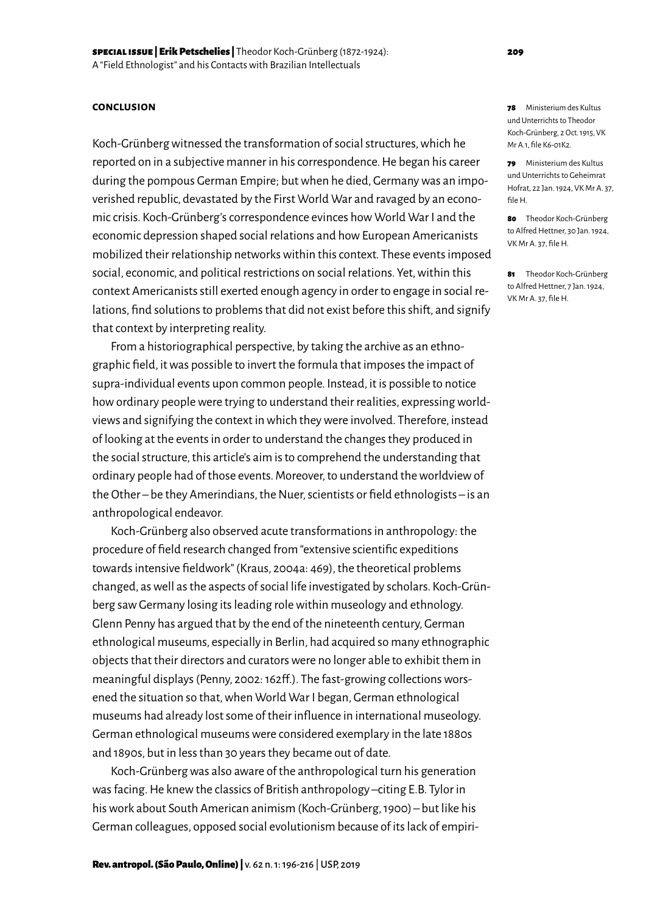#### **conclusion**

Koch-Grünberg witnessed the transformation of social structures, which he reported on in a subjective manner in his correspondence. He began his career during the pompous German Empire; but when he died, Germany was an impoverished republic, devastated by the First World War and ravaged by an economic crisis. Koch-Grünberg's correspondence evinces how World War I and the economic depression shaped social relations and how European Americanists mobilized their relationship networks within this context. These events imposed social, economic, and political restrictions on social relations. Yet, within this context Americanists still exerted enough agency in order to engage in social relations, find solutions to problems that did not exist before this shift, and signify that context by interpreting reality.

From a historiographical perspective, by taking the archive as an ethnographic field, it was possible to invert the formula that imposes the impact of supra-individual events upon common people. Instead, it is possible to notice how ordinary people were trying to understand their realities, expressing worldviews and signifying the context in which they were involved. Therefore, instead of looking at the events in order to understand the changes they produced in the social structure, this article's aim is to comprehend the understanding that ordinary people had of those events. Moreover, to understand the worldview of the Other – be they Amerindians, the Nuer, scientists or field ethnologists – is an anthropological endeavor.

Koch-Grünberg also observed acute transformations in anthropology: the procedure of field research changed from "extensive scientific expeditions towards intensive fieldwork" (Kraus, 2004a: 469), the theoretical problems changed, as well as the aspects of social life investigated by scholars. Koch-Grünberg saw Germany losing its leading role within museology and ethnology. Glenn Penny has argued that by the end of the nineteenth century, German ethnological museums, especially in Berlin, had acquired so many ethnographic objects that their directors and curators were no longer able to exhibit them in meaningful displays (Penny, 2002: 162ff.). The fast-growing collections worsened the situation so that, when World War I began, German ethnological museums had already lost some of their influence in international museology. German ethnological museums were considered exemplary in the late 1880s and 1890s, but in less than 30 years they became out of date.

Koch-Grünberg was also aware of the anthropological turn his generation was facing. He knew the classics of British anthropology –citing E.B. Tylor in his work about South American animism (Koch-Grünberg, 1900) – but like his German colleagues, opposed social evolutionism because of its lack of empiri78 Ministerium des Kultus und Unterrichts to Theodor Koch-Grünberg, 2 Oct. 1915, VK Mr A<sub>1</sub> file K6-01K2

79 Ministerium des Kultus und Unterrichts to Geheimrat Hofrat, 22 Jan. 1924, VK Mr A. 37, file H.

80 Theodor Koch-Grünberg to Alfred Hettner, 30 Jan. 1924, VK Mr A. 37, file H.

81 Theodor Koch-Grünberg to Alfred Hettner, 7 Jan. 1924, VK Mr A. 37, file H.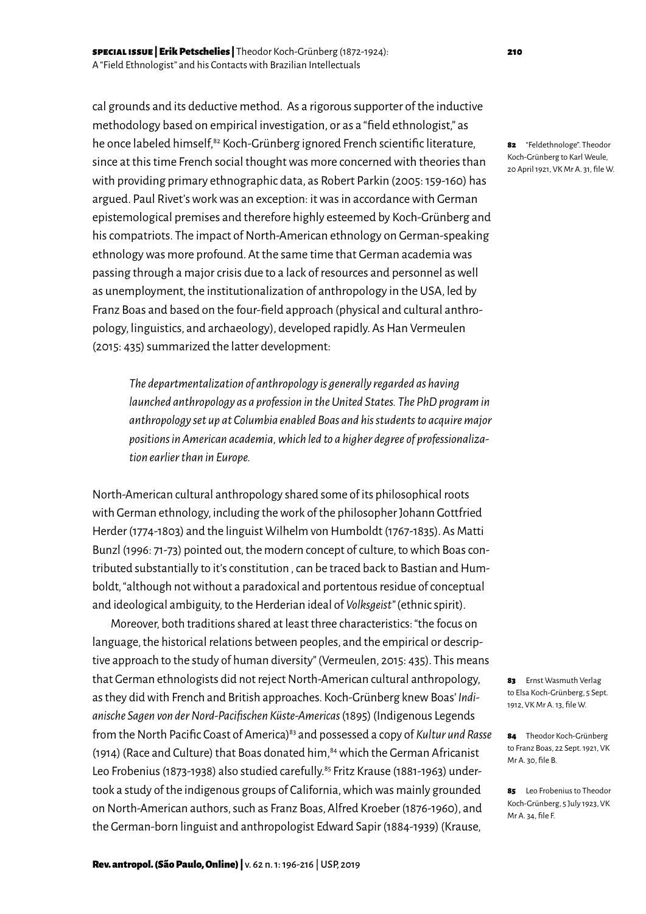cal grounds and its deductive method. As a rigorous supporter of the inductive methodology based on empirical investigation, or as a "field ethnologist," as he once labeled himself,<sup>82</sup> Koch-Grünberg ignored French scientific literature, since at this time French social thought was more concerned with theories than with providing primary ethnographic data, as Robert Parkin (2005: 159-160) has argued. Paul Rivet's work was an exception: it was in accordance with German epistemological premises and therefore highly esteemed by Koch-Grünberg and his compatriots. The impact of North-American ethnology on German-speaking ethnology was more profound. At the same time that German academia was passing through a major crisis due to a lack of resources and personnel as well as unemployment, the institutionalization of anthropology in the USA, led by Franz Boas and based on the four-field approach (physical and cultural anthropology, linguistics, and archaeology), developed rapidly. As Han Vermeulen (2015: 435) summarized the latter development:

*The departmentalization of anthropology is generally regarded as having launched anthropology as a profession in the United States. The PhD program in anthropology set up at Columbia enabled Boas and his students to acquire major positions in American academia, which led to a higher degree of professionalization earlier than in Europe.* 

North-American cultural anthropology shared some of its philosophical roots with German ethnology, including the work of the philosopher Johann Gottfried Herder (1774-1803) and the linguist Wilhelm von Humboldt (1767-1835). As Matti Bunzl (1996: 71-73) pointed out, the modern concept of culture, to which Boas contributed substantially to it's constitution , can be traced back to Bastian and Humboldt, "although not without a paradoxical and portentous residue of conceptual and ideological ambiguity, to the Herderian ideal of *Volksgeist"* (ethnic spirit).

Moreover, both traditions shared at least three characteristics: "the focus on language, the historical relations between peoples, and the empirical or descriptive approach to the study of human diversity" (Vermeulen, 2015: 435). This means that German ethnologists did not reject North-American cultural anthropology, as they did with French and British approaches. Koch-Grünberg knew Boas' *Indianische Sagen von der Nord-Pacifischen Küste-Americas* (1895) (Indigenous Legends from the North Pacific Coast of America)<sup>83</sup> and possessed a copy of *Kultur und Rasse* (1914) (Race and Culture) that Boas donated him,  $84$  which the German Africanist Leo Frobenius (1873-1938) also studied carefully.<sup>85</sup> Fritz Krause (1881-1963) undertook a study of the indigenous groups of California, which was mainly grounded on North-American authors, such as Franz Boas, Alfred Kroeber (1876-1960), and the German-born linguist and anthropologist Edward Sapir (1884-1939) (Krause,

82 "Feldethnologe". Theodor Koch-Grünberg to Karl Weule, 20 April 1921, VK Mr A. 31, file W.

83 Ernst Wasmuth Verlag to Elsa Koch-Grünberg, 5 Sept. 1912, VK Mr A. 13, file W.

84 Theodor Koch-Grünberg to Franz Boas, 22 Sept. 1921, VK Mr A. 30, file B.

85 Leo Frobenius to Theodor Koch-Grünberg, 5 July 1923, VK Mr A. 34, file F.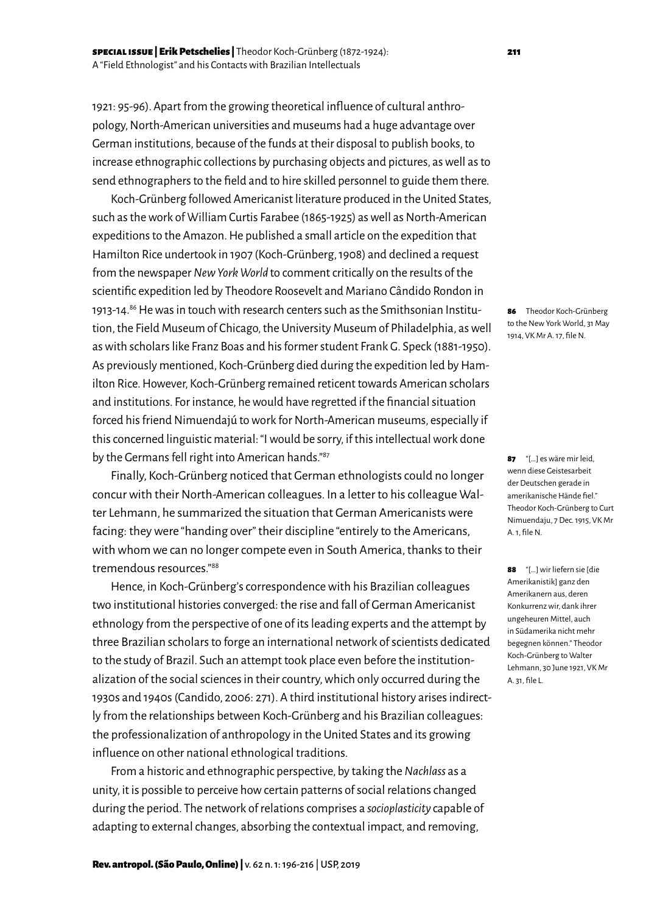1921: 95-96). Apart from the growing theoretical influence of cultural anthropology, North-American universities and museums had a huge advantage over German institutions, because of the funds at their disposal to publish books, to increase ethnographic collections by purchasing objects and pictures, as well as to send ethnographers to the field and to hire skilled personnel to guide them there.

Koch-Grünberg followed Americanist literature produced in the United States, such as the work of William Curtis Farabee (1865-1925) as well as North-American expeditions to the Amazon. He published a small article on the expedition that Hamilton Rice undertook in 1907 (Koch-Grünberg, 1908) and declined a request from the newspaper *New York World* to comment critically on the results of the scientific expedition led by Theodore Roosevelt and Mariano Cândido Rondon in 1913-14.86 He was in touch with research centers such as the Smithsonian Institution, the Field Museum of Chicago, the University Museum of Philadelphia, as well as with scholars like Franz Boas and his former student Frank G. Speck (1881-1950). As previously mentioned, Koch-Grünberg died during the expedition led by Hamilton Rice. However, Koch-Grünberg remained reticent towards American scholars and institutions. For instance, he would have regretted if the financial situation forced his friend Nimuendajú to work for North-American museums, especially if this concerned linguistic material: "I would be sorry, if this intellectual work done by the Germans fell right into American hands."87

Finally, Koch-Grünberg noticed that German ethnologists could no longer concur with their North-American colleagues. In a letter to his colleague Walter Lehmann, he summarized the situation that German Americanists were facing: they were "handing over" their discipline "entirely to the Americans, with whom we can no longer compete even in South America, thanks to their tremendous resources."88

Hence, in Koch-Grünberg's correspondence with his Brazilian colleagues two institutional histories converged: the rise and fall of German Americanist ethnology from the perspective of one of its leading experts and the attempt by three Brazilian scholars to forge an international network of scientists dedicated to the study of Brazil. Such an attempt took place even before the institutionalization of the social sciences in their country, which only occurred during the 1930s and 1940s (Candido, 2006: 271). A third institutional history arises indirectly from the relationships between Koch-Grünberg and his Brazilian colleagues: the professionalization of anthropology in the United States and its growing influence on other national ethnological traditions.

From a historic and ethnographic perspective, by taking the *Nachlass* as a unity, it is possible to perceive how certain patterns of social relations changed during the period. The network of relations comprises a *socioplasticity* capable of adapting to external changes, absorbing the contextual impact, and removing,

86 Theodor Koch-Grünberg to the New York World, 31 May 1914, VK Mr A. 17, file N.

87 "[…] es wäre mir leid, wenn diese Geistesarbeit der Deutschen gerade in amerikanische Hände fiel." Theodor Koch-Grünberg to Curt Nimuendaju, 7 Dec. 1915, VK Mr A. 1, file N.

88 "[…] wir liefern sie [die Amerikanistik] ganz den Amerikanern aus, deren Konkurrenz wir, dank ihrer ungeheuren Mittel, auch in Südamerika nicht mehr begegnen können." Theodor Koch-Grünberg to Walter Lehmann, 30 June 1921, VK Mr A. 31, file L.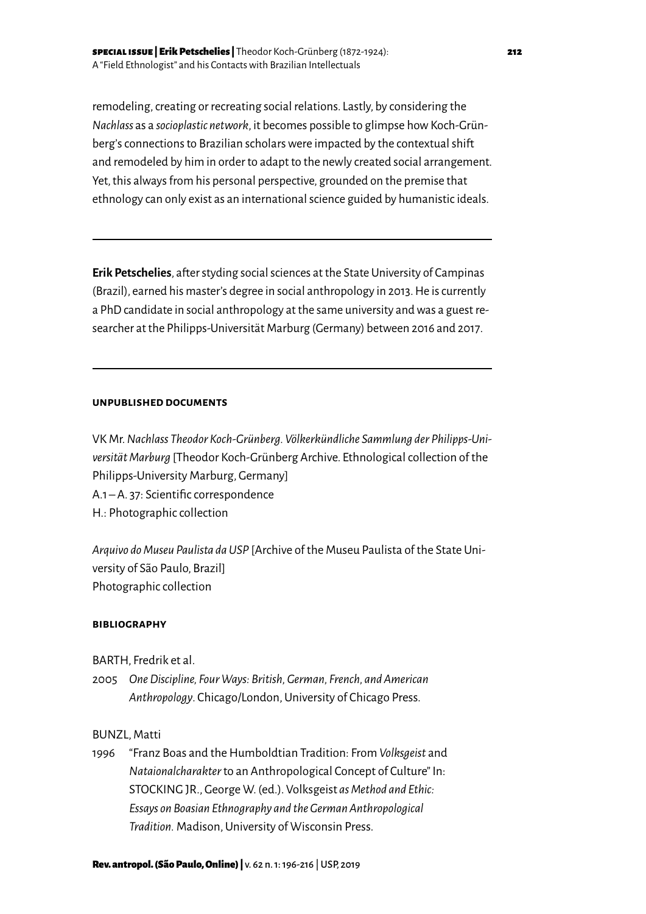remodeling, creating or recreating social relations. Lastly, by considering the *Nachlass* as a *socioplastic network*, it becomes possible to glimpse how Koch-Grünberg's connections to Brazilian scholars were impacted by the contextual shift and remodeled by him in order to adapt to the newly created social arrangement. Yet, this always from his personal perspective, grounded on the premise that ethnology can only exist as an international science guided by humanistic ideals.

**Erik Petschelies**, after styding social sciences at the State University of Campinas (Brazil), earned his master's degree in social anthropology in 2013. He is currently a PhD candidate in social anthropology at the same university and was a guest researcher at the Philipps-Universität Marburg (Germany) between 2016 and 2017.

### **unpublished documents**

VK Mr. *Nachlass Theodor Koch-Grünberg. Völkerkündliche Sammlung der Philipps-Universität Marburg* [Theodor Koch-Grünberg Archive. Ethnological collection of the Philipps-University Marburg, Germany] A.1 – A. 37: Scientific correspondence H.: Photographic collection

*Arquivo do Museu Paulista da USP* [Archive of the Museu Paulista of the State University of São Paulo, Brazil] Photographic collection

# **bibliography**

- BARTH, Fredrik et al.
- 2005 *One Discipline, Four Ways: British, German, French, and American Anthropology*. Chicago/London, University of Chicago Press.

# BUNZL, Matti

1996 "Franz Boas and the Humboldtian Tradition: From *Volksgeist* and *Nataionalcharakter* to an Anthropological Concept of Culture" In: STOCKING JR., George W. (ed.). Volksgeist *as Method and Ethic: Essays on Boasian Ethnography and the German Anthropological Tradition.* Madison, University of Wisconsin Press.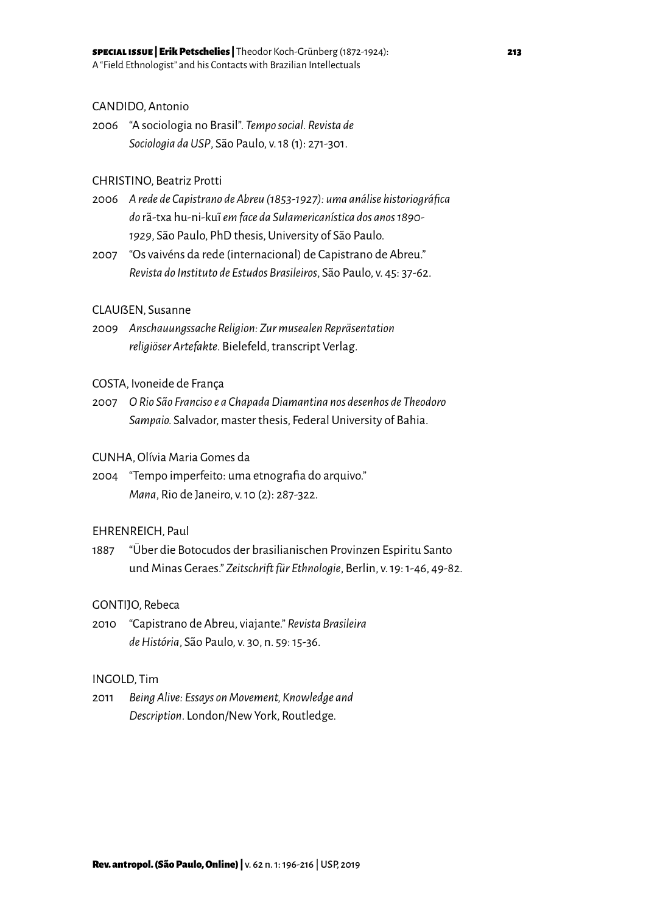# CANDIDO, Antonio

2006 "A sociologia no Brasil". *Tempo social. Revista de Sociologia da USP*, São Paulo, v. 18 (1): 271-301.

# CHRISTINO, Beatriz Protti

- 2006 *A rede de Capistrano de Abreu (1853-1927): uma análise historiográfica do* rã-txa hu-ni-ku~i *em face da Sulamericanística dos anos 1890- 1929*, São Paulo, PhD thesis, University of São Paulo.
- 2007 "Os vaivéns da rede (internacional) de Capistrano de Abreu." *Revista do Instituto de Estudos Brasileiros*, São Paulo, v. 45: 37-62.

# CLAUßEN, Susanne

2009 *Anschauungssache Religion: Zur musealen Repräsentation religiöser Artefakte*. Bielefeld, transcript Verlag.

#### COSTA, Ivoneide de França

2007 *O Rio São Franciso e a Chapada Diamantina nos desenhos de Theodoro Sampaio.* Salvador, master thesis, Federal University of Bahia.

# CUNHA, Olívia Maria Gomes da

2004 "Tempo imperfeito: uma etnografia do arquivo." *Mana*, Rio de Janeiro, v. 10 (2): 287-322.

# EHRENREICH, Paul

1887 "Über die Botocudos der brasilianischen Provinzen Espiritu Santo und Minas Geraes." *Zeitschrift für Ethnologie*, Berlin, v. 19: 1-46, 49-82.

#### GONTIJO, Rebeca

2010 "Capistrano de Abreu, viajante." *Revista Brasileira de História*, São Paulo, v. 30, n. 59: 15-36.

#### INGOLD, Tim

2011 *Being Alive: Essays on Movement, Knowledge and Description*. London/New York, Routledge.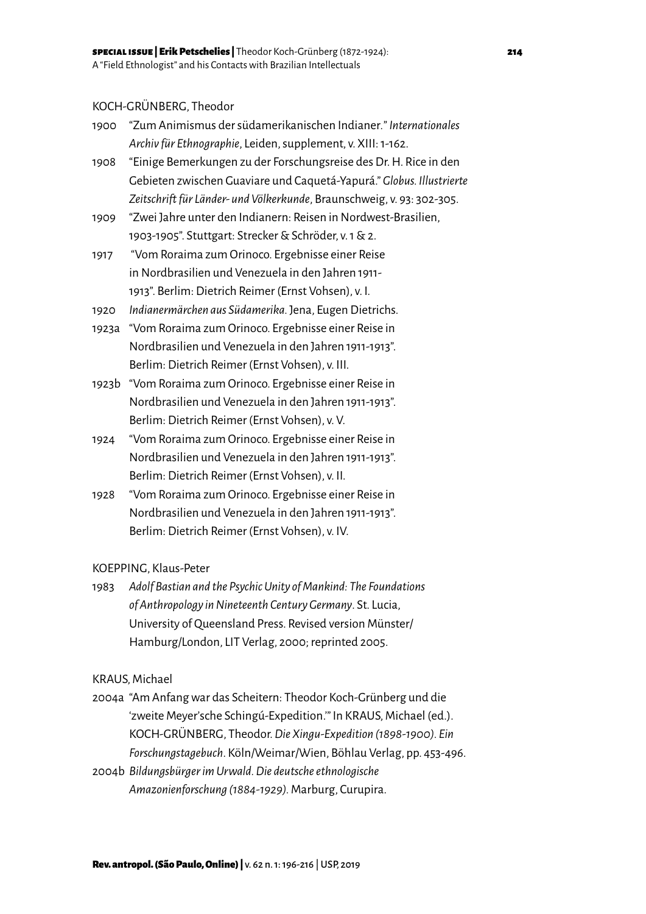# KOCH-GRÜNBERG, Theodor

- 1900 "Zum Animismus der südamerikanischen Indianer*.*" *Internationales Archiv für Ethnographie*, Leiden, supplement, v. XIII: 1-162.
- 1908 "Einige Bemerkungen zu der Forschungsreise des Dr. H. Rice in den Gebieten zwischen Guaviare und Caquetá-Yapurá." *Globus. Illustrierte Zeitschrift für Länder- und Völkerkunde*, Braunschweig, v. 93: 302-305.
- 1909 "Zwei Jahre unter den Indianern: Reisen in Nordwest-Brasilien, 1903-1905". Stuttgart: Strecker & Schröder, v. 1 & 2.
- 1917 "Vom Roraima zum Orinoco. Ergebnisse einer Reise in Nordbrasilien und Venezuela in den Jahren 1911- 1913". Berlim: Dietrich Reimer (Ernst Vohsen), v. I.
- 1920 *Indianermärchen aus Südamerika.* Jena, Eugen Dietrichs.
- 1923a "Vom Roraima zum Orinoco. Ergebnisse einer Reise in Nordbrasilien und Venezuela in den Jahren 1911-1913". Berlim: Dietrich Reimer (Ernst Vohsen), v. III.
- 1923b "Vom Roraima zum Orinoco. Ergebnisse einer Reise in Nordbrasilien und Venezuela in den Jahren 1911-1913". Berlim: Dietrich Reimer (Ernst Vohsen), v. V.
- 1924 "Vom Roraima zum Orinoco. Ergebnisse einer Reise in Nordbrasilien und Venezuela in den Jahren 1911-1913". Berlim: Dietrich Reimer (Ernst Vohsen), v. II.
- 1928 "Vom Roraima zum Orinoco. Ergebnisse einer Reise in Nordbrasilien und Venezuela in den Jahren 1911-1913". Berlim: Dietrich Reimer (Ernst Vohsen), v. IV.

# KOEPPING, Klaus-Peter

1983 *Adolf Bastian and the Psychic Unity of Mankind: The Foundations of Anthropology in Nineteenth Century Germany*. St. Lucia, University of Queensland Press. Revised version Münster/ Hamburg/London, LIT Verlag, 2000; reprinted 2005.

# KRAUS, Michael

- 2004a "Am Anfang war das Scheitern: Theodor Koch-Grünberg und die 'zweite Meyer'sche Schingú-Expedition.'" In KRAUS, Michael (ed.). KOCH-GRÜNBERG, Theodor. *Die Xingu-Expedition (1898-1900). Ein Forschungstagebuch*. Köln/Weimar/Wien, Böhlau Verlag, pp. 453-496.
- 2004b *Bildungsbürger im Urwald. Die deutsche ethnologische Amazonienforschung (1884-1929).* Marburg, Curupira.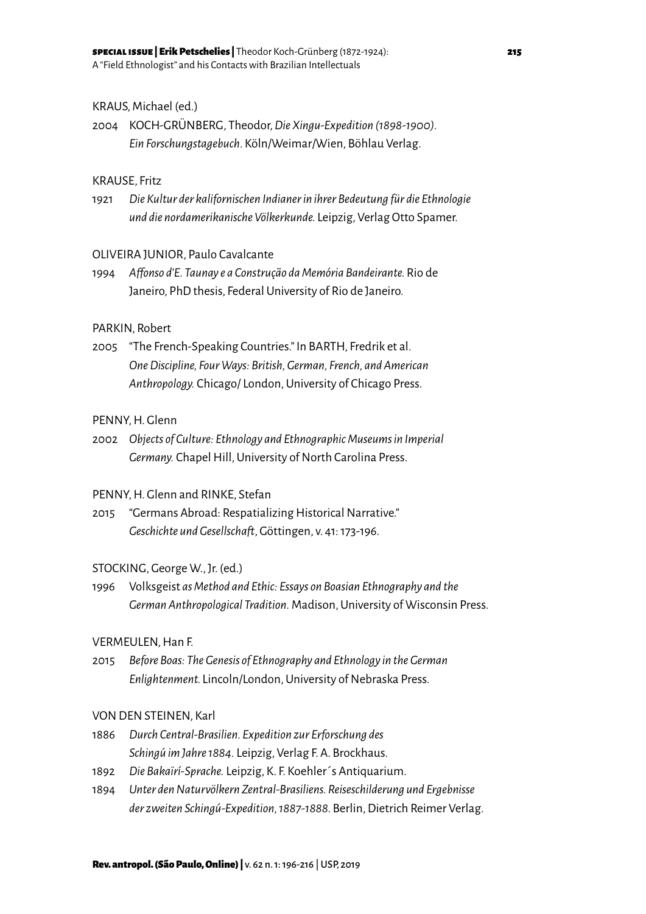# KRAUS, Michael (ed.)

2004 KOCH-GRÜNBERG, Theodor, *Die Xingu-Expedition (1898-1900). Ein Forschungstagebuch*. Köln/Weimar/Wien, Böhlau Verlag.

# KRAUSE, Fritz

1921 *Die Kultur der kalifornischen Indianer in ihrer Bedeutung für die Ethnologie und die nordamerikanische Völkerkunde.* Leipzig, Verlag Otto Spamer.

# OLIVEIRA JUNIOR, Paulo Cavalcante

1994 *Affonso d'E. Taunay e a Construção da Memória Bandeirante.* Rio de Janeiro, PhD thesis, Federal University of Rio de Janeiro.

# PARKIN, Robert

2005 "The French-Speaking Countries." In BARTH, Fredrik et al. *One Discipline, Four Ways: British, German, French, and American Anthropology.* Chicago/ London, University of Chicago Press.

# PENNY, H. Glenn

2002 *Objects of Culture: Ethnology and Ethnographic Museums in Imperial Germany.* Chapel Hill, University of North Carolina Press.

# PENNY, H. Glenn and RINKE, Stefan

2015 "Germans Abroad: Respatializing Historical Narrative." *Geschichte und Gesellschaft*, Göttingen, v. 41: 173-196.

#### STOCKING, George W., Jr. (ed.)

1996 Volksgeist *as Method and Ethic: Essays on Boasian Ethnography and the German Anthropological Tradition.* Madison, University of Wisconsin Press.

#### VERMEULEN, Han F.

2015 *Before Boas: The Genesis of Ethnography and Ethnology in the German Enlightenment.* Lincoln/London, University of Nebraska Press.

#### VON DEN STEINEN, Karl

- 1886 *Durch Central-Brasilien. Expedition zur Erforschung des Schingú im Jahre 1884.* Leipzig, Verlag F. A. Brockhaus.
- 1892 *Die Bakaïrí-Sprache.* Leipzig, K. F. Koehler´s Antiquarium.
- 1894 *Unter den Naturvölkern Zentral-Brasiliens. Reiseschilderung und Ergebnisse der zweiten Schingú-Expedition, 1887-1888.* Berlin, Dietrich Reimer Verlag.